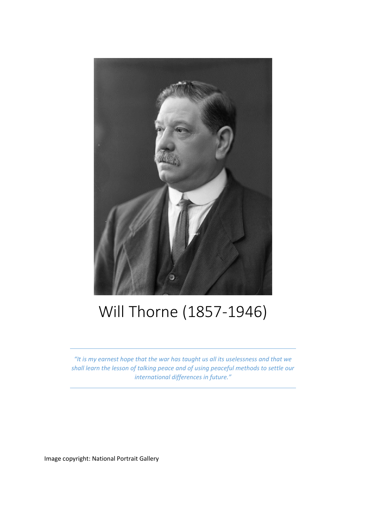

## Will Thorne (1857-1946)

*"It is my earnest hope that the war has taught us all its uselessness and that we shall learn the lesson of talking peace and of using peaceful methods to settle our international differences in future."*

Image copyright: National Portrait Gallery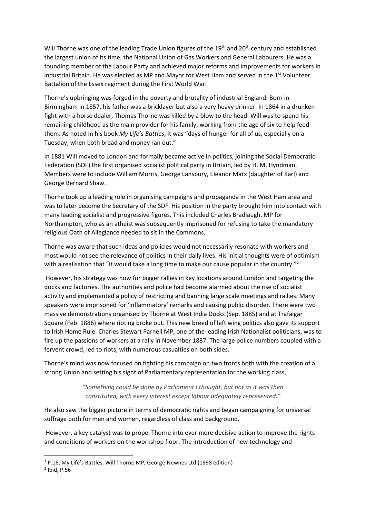Will Thorne was one of the leading Trade Union figures of the 19<sup>th</sup> and 20<sup>th</sup> century and established the largest union of its time, the National Union of Gas Workers and General Labourers. He was a founding member of the Labour Party and achieved major reforms and improvements for workers in industrial Britain. He was elected as MP and Mayor for West Ham and served in the 1<sup>st</sup> Volunteer Battalion of the Essex regiment during the First World War.

Thorne's upbringing was forged in the poverty and brutality of industrial England. Born in Birmingham in 1857, his father was a bricklayer but also a very heavy drinker. In 1864 in a drunken fight with a horse dealer, Thomas Thorne was killed by a blow to the head. Will was to spend his remaining childhood as the main provider for his family, working from the age of six to help feed them. As noted in his book *My Life's Battles*, it was "days of hunger for all of us, especially on a Tuesday, when both bread and money ran out."<sup>1</sup>

In 1881 Will moved to London and formally became active in politics, joining the Social Democratic Federation (SDF) the first organised socialist political party in Britain, led by H. M. Hyndman. Members were to include William Morris, George Lansbury, Eleanor Marx (daughter of Karl) and George Bernard Shaw.

Thorne took up a leading role in organising campaigns and propaganda in the West Ham area and was to later become the Secretary of the SDF. His position in the party brought him into contact with many leading socialist and progressive figures. This included Charles Bradlaugh, MP for Northampton, who as an atheist was subsequently imprisoned for refusing to take the mandatory religious Oath of Allegiance needed to sit in the Commons.

Thorne was aware that such ideas and policies would not necessarily resonate with workers and most would not see the relevance of politics in their daily lives. His initial thoughts were of optimism with a realisation that "it would take a long time to make our cause popular in the country."<sup>2</sup>

However, his strategy was now for bigger rallies in key locations around London and targeting the docks and factories. The authorities and police had become alarmed about the rise of socialist activity and implemented a policy of restricting and banning large scale meetings and rallies. Many speakers were imprisoned for 'inflammatory' remarks and causing public disorder. There were two massive demonstrations organised by Thorne at West India Docks (Sep. 1885) and at Trafalgar Square (Feb. 1886) where rioting broke out. This new breed of left wing politics also gave its support to Irish Home Rule. Charles Stewart Parnell MP, one of the leading Irish Nationalist politicians, was to fire up the passions of workers at a rally in November 1887. The large police numbers coupled with a fervent crowd, led to riots, with numerous casualties on both sides.

Thorne's mind was now focused on fighting his campaign on two fronts both with the creation of a strong Union and setting his sight of Parliamentary representation for the working class,

> *"Something could be done by Parliament I thought, but not as it was then constituted, with every interest except labour adequately represented."*

He also saw the bigger picture in terms of democratic rights and began campaigning for universal suffrage both for men and women, regardless of class and background.

However, a key catalyst was to propel Thorne into ever more decisive action to improve the rights and conditions of workers on the workshop floor. The introduction of new technology and

**.** 

<sup>1</sup> P.16, My Life's Battles, Will Thorne MP, George Newnes Ltd (1998 edition)

<sup>2</sup> Ibid, P.56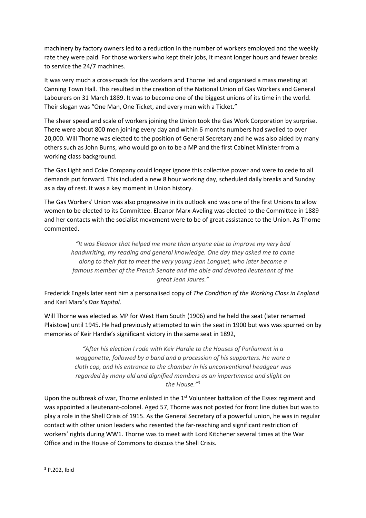machinery by factory owners led to a reduction in the number of workers employed and the weekly rate they were paid. For those workers who kept their jobs, it meant longer hours and fewer breaks to service the 24/7 machines.

It was very much a cross-roads for the workers and Thorne led and organised a mass meeting at Canning Town Hall. This resulted in the creation of the National Union of Gas Workers and General Labourers on 31 March 1889. It was to become one of the biggest unions of its time in the world. Their slogan was "One Man, One Ticket, and every man with a Ticket."

The sheer speed and scale of workers joining the Union took the Gas Work Corporation by surprise. There were about 800 men joining every day and within 6 months numbers had swelled to over 20,000. Will Thorne was elected to the position of General Secretary and he was also aided by many others such as John Burns, who would go on to be a MP and the first Cabinet Minister from a working class background.

The Gas Light and Coke Company could longer ignore this collective power and were to cede to all demands put forward. This included a new 8 hour working day, scheduled daily breaks and Sunday as a day of rest. It was a key moment in Union history.

The Gas Workers' Union was also progressive in its outlook and was one of the first Unions to allow women to be elected to its Committee. Eleanor Marx-Aveling was elected to the Committee in 1889 and her contacts with the socialist movement were to be of great assistance to the Union. As Thorne commented.

*"It was Eleanor that helped me more than anyone else to improve my very bad handwriting, my reading and general knowledge. One day they asked me to come along to their flat to meet the very young Jean Longuet, who later became a famous member of the French Senate and the able and devoted lieutenant of the great Jean Jaures."*

Frederick Engels later sent him a personalised copy of *The Condition of the Working Class in England* and Karl Marx's *Das Kapital*.

Will Thorne was elected as MP for West Ham South (1906) and he held the seat (later renamed Plaistow) until 1945. He had previously attempted to win the seat in 1900 but was was spurred on by memories of Keir Hardie's significant victory in the same seat in 1892,

> *"After his election I rode with Keir Hardie to the Houses of Parliament in a waggonette, followed by a band and a procession of his supporters. He wore a cloth cap, and his entrance to the chamber in his unconventional headgear was regarded by many old and dignified members as an impertinence and slight on the House."<sup>3</sup>*

Upon the outbreak of war, Thorne enlisted in the 1<sup>st</sup> Volunteer battalion of the Essex regiment and was appointed a lieutenant-colonel. Aged 57, Thorne was not posted for front line duties but was to play a role in the Shell Crisis of 1915. As the General Secretary of a powerful union, he was in regular contact with other union leaders who resented the far-reaching and significant restriction of workers' rights during WW1. Thorne was to meet with Lord Kitchener several times at the War Office and in the House of Commons to discuss the Shell Crisis.

**<sup>.</sup>** <sup>3</sup> P.202, Ibid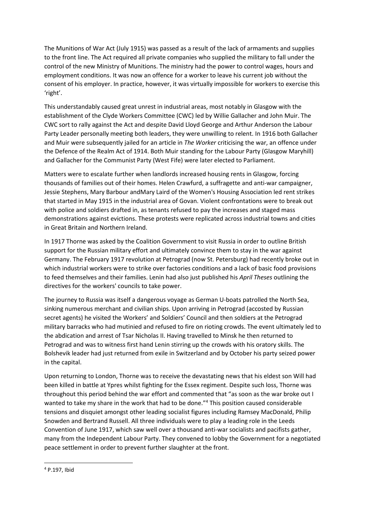The Munitions of War Act (July 1915) was passed as a result of the lack of armaments and supplies to the front line. The Act required all private companies who supplied the military to fall under the control of the new Ministry of Munitions. The ministry had the power to control wages, hours and employment conditions. It was now an offence for a worker to leave his current job without the consent of his employer. In practice, however, it was virtually impossible for workers to exercise this 'right'.

This understandably caused great unrest in industrial areas, most notably in Glasgow with the establishment of the Clyde Workers Committee (CWC) led by Willie Gallacher and John Muir. The CWC sort to rally against the Act and despite David Lloyd George and Arthur Anderson the Labour Party Leader personally meeting both leaders, they were unwilling to relent. In 1916 both Gallacher and Muir were subsequently jailed for an article in *The Worker* criticising the war, an offence under the Defence of the Realm Act of 1914. Both Muir standing for the Labour Party (Glasgow Maryhill) and Gallacher for the Communist Party (West Fife) were later elected to Parliament.

Matters were to escalate further when landlords increased housing rents in Glasgow, forcing thousands of families out of their homes. Helen Crawfurd, a suffragette and anti-war campaigner, Jessie Stephens, Mary Barbour andMary Laird of the Women's Housing Association led rent strikes that started in May 1915 in the industrial area of Govan. Violent confrontations were to break out with police and soldiers drafted in, as tenants refused to pay the increases and staged mass demonstrations against evictions. These protests were replicated across industrial towns and cities in Great Britain and Northern Ireland.

In 1917 Thorne was asked by the Coalition Government to visit Russia in order to outline British support for the Russian military effort and ultimately convince them to stay in the war against Germany. The February 1917 revolution at Petrograd (now St. Petersburg) had recently broke out in which industrial workers were to strike over factories conditions and a lack of basic food provisions to feed themselves and their families. Lenin had also just published his *April Theses* outlining the directives for the workers' councils to take power.

The journey to Russia was itself a dangerous voyage as German U-boats patrolled the North Sea, sinking numerous merchant and civilian ships. Upon arriving in Petrograd (accosted by Russian secret agents) he visited the Workers' and Soldiers' Council and then soldiers at the Petrograd military barracks who had mutinied and refused to fire on rioting crowds. The event ultimately led to the abdication and arrest of Tsar Nicholas II. Having travelled to Minsk he then returned to Petrograd and was to witness first hand Lenin stirring up the crowds with his oratory skills. The Bolshevik leader had just returned from exile in Switzerland and by October his party seized power in the capital.

Upon returning to London, Thorne was to receive the devastating news that his eldest son Will had been killed in battle at Ypres whilst fighting for the Essex regiment. Despite such loss, Thorne was throughout this period behind the war effort and commented that "as soon as the war broke out I wanted to take my share in the work that had to be done."<sup>4</sup> This position caused considerable tensions and disquiet amongst other leading socialist figures including Ramsey MacDonald, Philip Snowden and Bertrand Russell. All three individuals were to play a leading role in the Leeds Convention of June 1917, which saw well over a thousand anti-war socialists and pacifists gather, many from the Independent Labour Party. They convened to lobby the Government for a negotiated peace settlement in order to prevent further slaughter at the front.

**.** 

<sup>4</sup> P.197, Ibid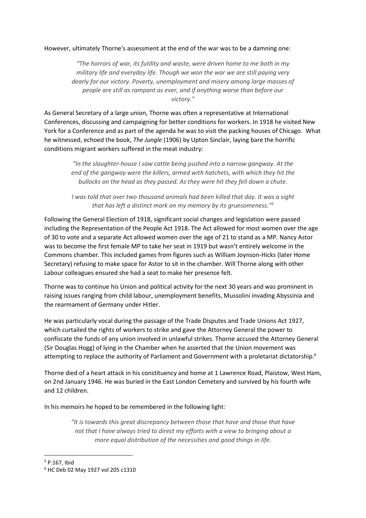## However, ultimately Thorne's assessment at the end of the war was to be a damning one:

*"The horrors of war, its futility and waste, were driven home to me both in my military life and everyday life. Though we won the war we are still paying very dearly for our victory. Poverty, unemployment and misery among large masses of people are still as rampant as ever, and if anything worse than before our victory."*

As General Secretary of a large union, Thorne was often a representative at International Conferences, discussing and campaigning for better conditions for workers. In 1918 he visited New York for a Conference and as part of the agenda he was to visit the packing houses of Chicago. What he witnessed, echoed the book, *The Jungle* (1906) by Upton Sinclair, laying bare the horrific conditions migrant workers suffered in the meat industry:

*"In the slaughter-house I saw cattle being pushed into a narrow gangway. At the end of the gangway were the killers, armed with hatchets, with which they hit the bullocks on the head as they passed. As they were hit they fell down a chute.*

*I was told that over two thousand animals had been killed that day. It was a sight that has left a distinct mark on my memory by its gruesomeness."<sup>5</sup>*

Following the General Election of 1918, significant social changes and legislation were passed including the Representation of the People Act 1918. The Act allowed for most women over the age of 30 to vote and a separate Act allowed women over the age of 21 to stand as a MP. Nancy Astor was to become the first female MP to take her seat in 1919 but wasn't entirely welcome in the Commons chamber. This included games from figures such as William Joynson-Hicks (later Home Secretary) refusing to make space for Astor to sit in the chamber. Will Thorne along with other Labour colleagues ensured she had a seat to make her presence felt.

Thorne was to continue his Union and political activity for the next 30 years and was prominent in raising issues ranging from child labour, unemployment benefits, Mussolini invading Abyssinia and the rearmament of Germany under Hitler.

He was particularly vocal during the passage of the Trade Disputes and Trade Unions Act 1927, which curtailed the rights of workers to strike and gave the Attorney General the power to confiscate the funds of any union involved in unlawful strikes. Thorne accused the Attorney General (Sir Douglas Hogg) of lying in the Chamber when he asserted that the Union movement was attempting to replace the authority of Parliament and Government with a proletariat dictatorship.<sup>6</sup>

Thorne died of a heart attack in his constituency and home at 1 Lawrence Road, Plaistow, West Ham, on 2nd January 1946. He was buried in the East London Cemetery and survived by his fourth wife and 12 children.

In his memoirs he hoped to be remembered in the following light:

*"It is towards this great discrepancy between those that have and those that have not that I have always tried to direct my efforts with a view to bringing about a more equal distribution of the necessities and good things in life.* 

**.** 

<sup>5</sup> P.167, Ibid

<sup>6</sup> HC Deb 02 May 1927 vol 205 c1310